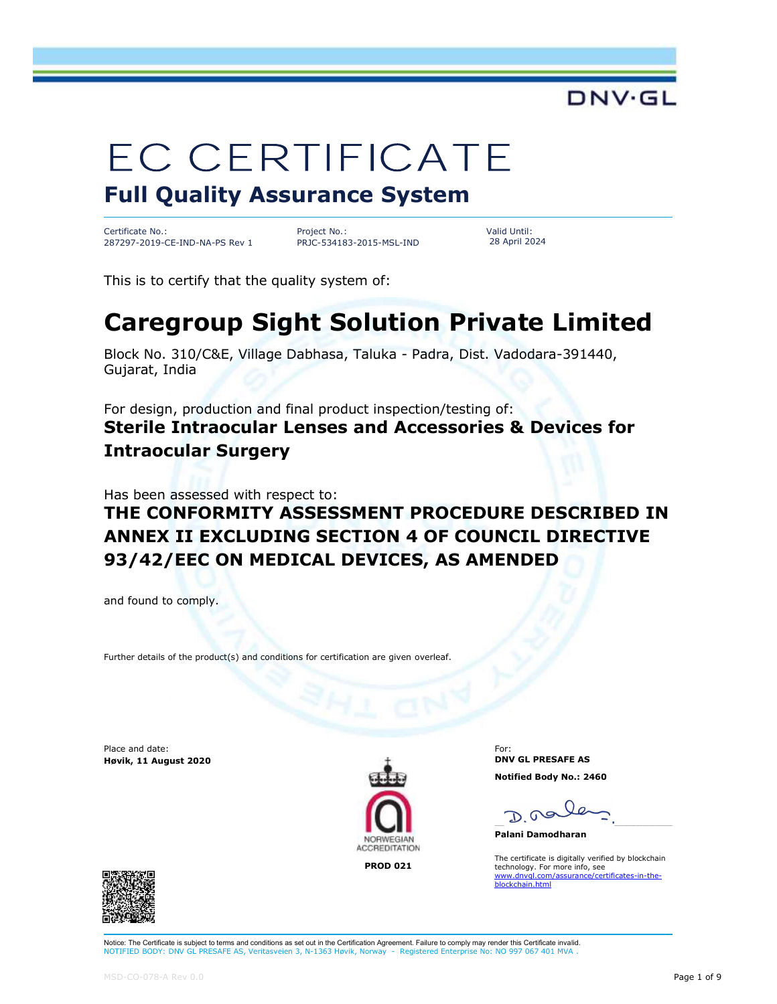

# **EC CERTIFICATE**

#### Full Quality Assurance System

Certificate No.: 287297-2019-CE-IND-NA-PS Rev 1

Project No.: PRJC-534183-2015-MSL-IND Valid Until: 28 April 2024

This is to certify that the quality system of:

### Caregroup Sight Solution Private Limited

Block No. 310/C&E, Village Dabhasa, Taluka - Padra, Dist. Vadodara-391440, Gujarat, India

For design, production and final product inspection/testing of: Sterile Intraocular Lenses and Accessories & Devices for Intraocular Surgery

Has been assessed with respect to:

#### THE CONFORMITY ASSESSMENT PROCEDURE DESCRIBED IN ANNEX II EXCLUDING SECTION 4 OF COUNCIL DIRECTIVE 93/42/EEC ON MEDICAL DEVICES, AS AMENDED

and found to comply.

Further details of the product(s) and conditions for certification are given overleaf.

Place and date: Høvik, 11 August 2020



For: DNV GL PRESAFE AS Notified Body No.: 2460

\_\_\_\_\_\_\_\_\_\_\_\_\_\_\_\_\_\_\_\_\_\_\_\_\_\_\_\_\_\_\_\_\_\_\_\_\_\_\_\_\_\_\_\_\_\_\_\_\_\_\_\_\_\_\_\_\_\_\_\_\_\_\_\_\_\_\_\_\_\_\_\_\_\_\_\_\_\_

Palani Damodharan

The certificate is digitally verified by blockchain<br> **PROD 021** echnology. For more info, see<br> **PROD 021** www.dnvgl.com/assurance/certificates-in-the-<br>blockchain.html



Further details of the product(s) and conditions for certification are given overleaf.<br>
Ms and date:<br>
MSD-CO-078-A Rev 0.0<br>
MODERCOLONE<br>
MODERCOLONE<br>
MODERCOLONE<br>
MODERCOLONE<br>
PROD 021<br>
MODERCOLONE<br>
PROD 021<br>
MODERCOLONE Notice: The Certificate is subject to terms and conditions as set out in the Certification Agreement. Failure to comply may render this Certificate invalid. NOTIFIED BODY: DNV GL PRESAFE AS, Veritasveien 3, N-1363 Høvik, Norway - Registered Enterprise No: NO 997 067 401 MVA .